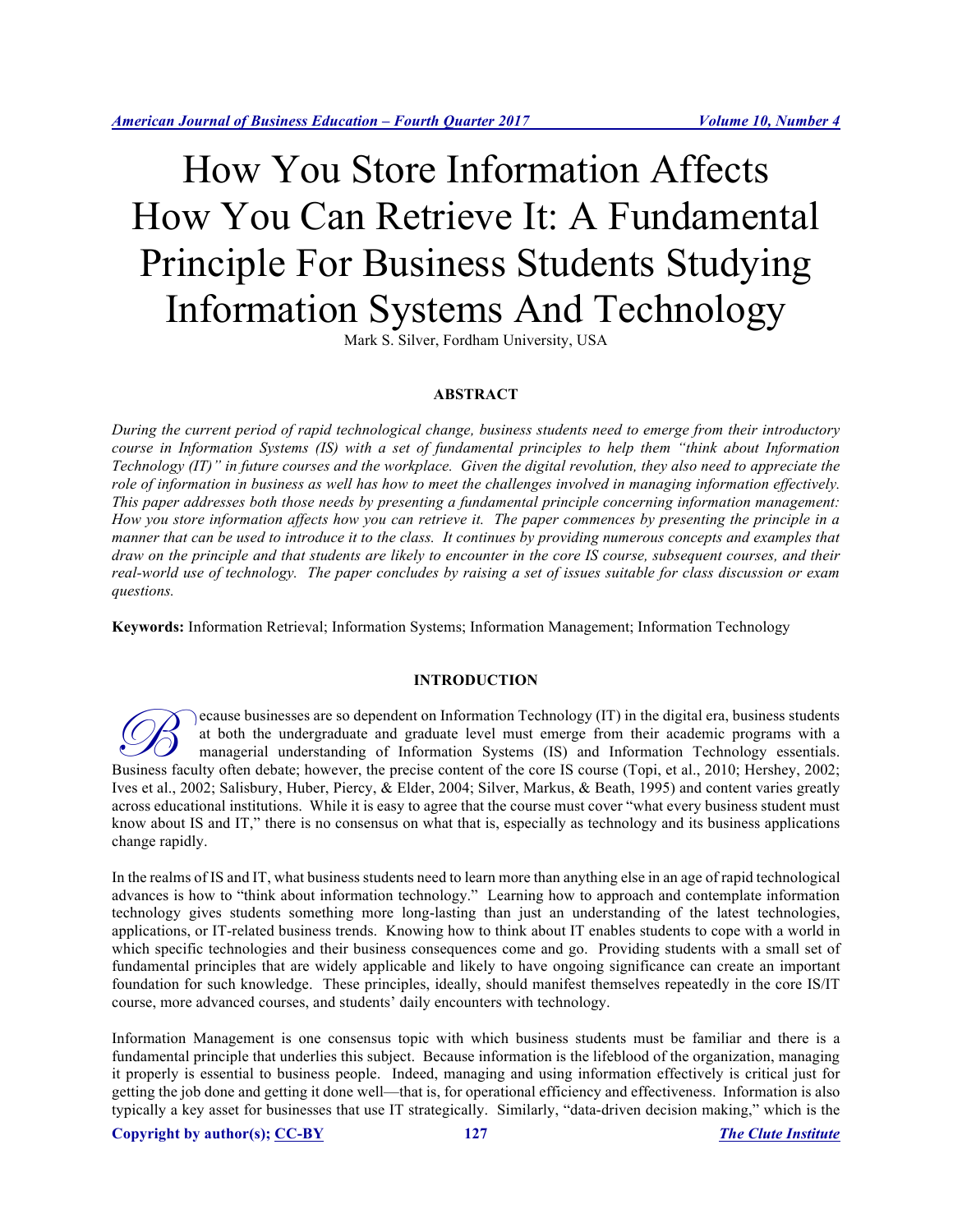# How You Store Information Affects How You Can Retrieve It: A Fundamental Principle For Business Students Studying Information Systems And Technology

Mark S. Silver, Fordham University, USA

#### **ABSTRACT**

*During the current period of rapid technological change, business students need to emerge from their introductory course in Information Systems (IS) with a set of fundamental principles to help them "think about Information Technology (IT)" in future courses and the workplace. Given the digital revolution, they also need to appreciate the role of information in business as well has how to meet the challenges involved in managing information effectively. This paper addresses both those needs by presenting a fundamental principle concerning information management: How you store information affects how you can retrieve it. The paper commences by presenting the principle in a manner that can be used to introduce it to the class. It continues by providing numerous concepts and examples that draw on the principle and that students are likely to encounter in the core IS course, subsequent courses, and their real-world use of technology. The paper concludes by raising a set of issues suitable for class discussion or exam questions.* 

**Keywords:** Information Retrieval; Information Systems; Information Management; Information Technology

#### **INTRODUCTION**

ecause businesses are so dependent on Information Technology (IT) in the digital era, business students at both the undergraduate and graduate level must emerge from their academic programs with a managerial understanding of Information Systems (IS) and Information Technology essentials. Government of the undergraduate and graduate level must emerge from their academic programs with a managerial understanding of Information Systems (IS) and Information Technology essentials.<br>Business faculty often debate; Ives et al., 2002; Salisbury, Huber, Piercy, & Elder, 2004; Silver, Markus, & Beath, 1995) and content varies greatly across educational institutions. While it is easy to agree that the course must cover "what every business student must know about IS and IT," there is no consensus on what that is, especially as technology and its business applications change rapidly.

In the realms of IS and IT, what business students need to learn more than anything else in an age of rapid technological advances is how to "think about information technology." Learning how to approach and contemplate information technology gives students something more long-lasting than just an understanding of the latest technologies, applications, or IT-related business trends. Knowing how to think about IT enables students to cope with a world in which specific technologies and their business consequences come and go. Providing students with a small set of fundamental principles that are widely applicable and likely to have ongoing significance can create an important foundation for such knowledge. These principles, ideally, should manifest themselves repeatedly in the core IS/IT course, more advanced courses, and students' daily encounters with technology.

Information Management is one consensus topic with which business students must be familiar and there is a fundamental principle that underlies this subject. Because information is the lifeblood of the organization, managing it properly is essential to business people. Indeed, managing and using information effectively is critical just for getting the job done and getting it done well—that is, for operational efficiency and effectiveness. Information is also typically a key asset for businesses that use IT strategically. Similarly, "data-driven decision making," which is the

**Copyright by author(s); CC-BY 127** *The Clute Institute*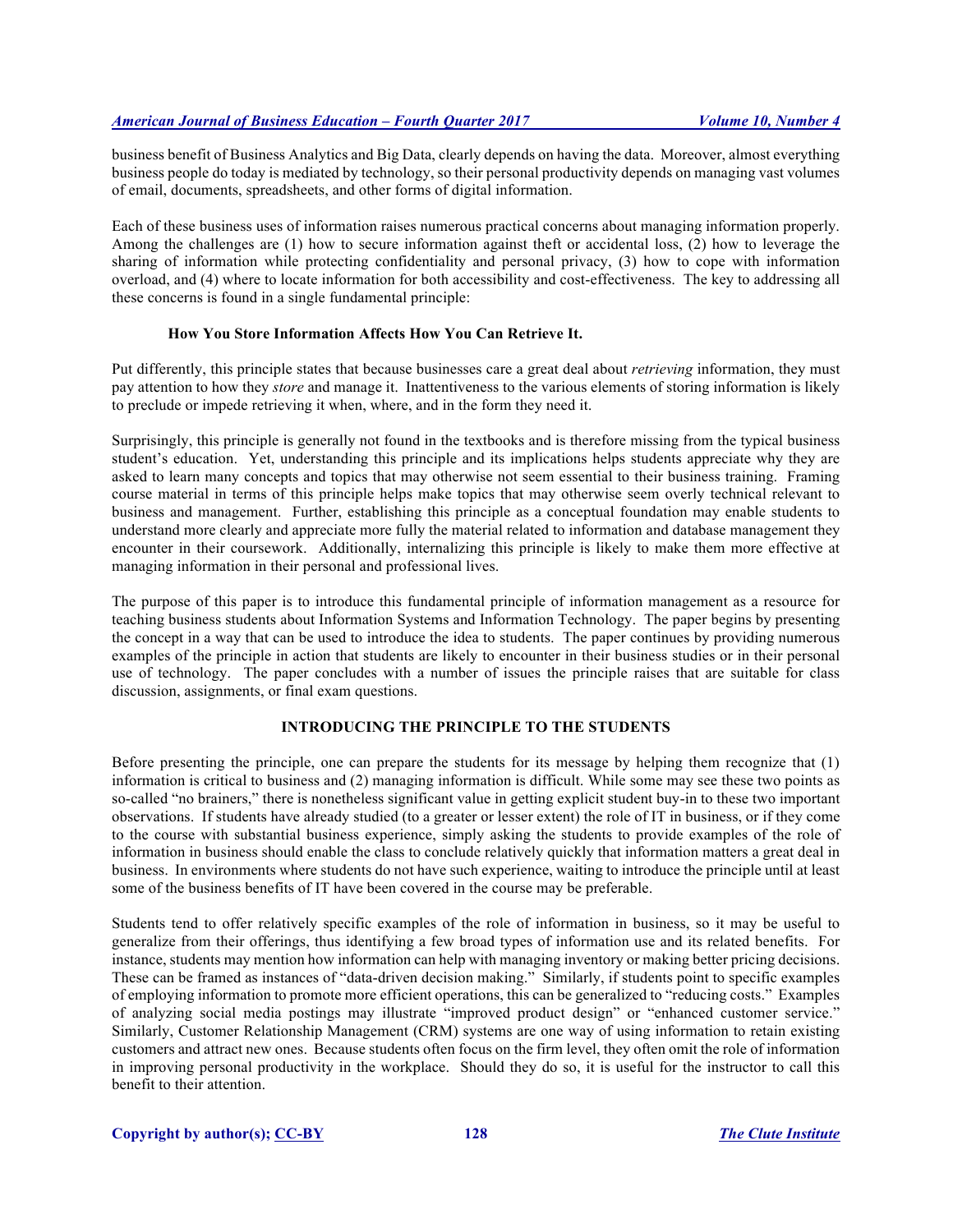business benefit of Business Analytics and Big Data, clearly depends on having the data. Moreover, almost everything business people do today is mediated by technology, so their personal productivity depends on managing vast volumes of email, documents, spreadsheets, and other forms of digital information.

Each of these business uses of information raises numerous practical concerns about managing information properly. Among the challenges are (1) how to secure information against theft or accidental loss, (2) how to leverage the sharing of information while protecting confidentiality and personal privacy, (3) how to cope with information overload, and (4) where to locate information for both accessibility and cost-effectiveness. The key to addressing all these concerns is found in a single fundamental principle:

# **How You Store Information Affects How You Can Retrieve It.**

Put differently, this principle states that because businesses care a great deal about *retrieving* information, they must pay attention to how they *store* and manage it. Inattentiveness to the various elements of storing information is likely to preclude or impede retrieving it when, where, and in the form they need it.

Surprisingly, this principle is generally not found in the textbooks and is therefore missing from the typical business student's education. Yet, understanding this principle and its implications helps students appreciate why they are asked to learn many concepts and topics that may otherwise not seem essential to their business training. Framing course material in terms of this principle helps make topics that may otherwise seem overly technical relevant to business and management. Further, establishing this principle as a conceptual foundation may enable students to understand more clearly and appreciate more fully the material related to information and database management they encounter in their coursework. Additionally, internalizing this principle is likely to make them more effective at managing information in their personal and professional lives.

The purpose of this paper is to introduce this fundamental principle of information management as a resource for teaching business students about Information Systems and Information Technology. The paper begins by presenting the concept in a way that can be used to introduce the idea to students. The paper continues by providing numerous examples of the principle in action that students are likely to encounter in their business studies or in their personal use of technology. The paper concludes with a number of issues the principle raises that are suitable for class discussion, assignments, or final exam questions.

# **INTRODUCING THE PRINCIPLE TO THE STUDENTS**

Before presenting the principle, one can prepare the students for its message by helping them recognize that (1) information is critical to business and (2) managing information is difficult. While some may see these two points as so-called "no brainers," there is nonetheless significant value in getting explicit student buy-in to these two important observations. If students have already studied (to a greater or lesser extent) the role of IT in business, or if they come to the course with substantial business experience, simply asking the students to provide examples of the role of information in business should enable the class to conclude relatively quickly that information matters a great deal in business. In environments where students do not have such experience, waiting to introduce the principle until at least some of the business benefits of IT have been covered in the course may be preferable.

Students tend to offer relatively specific examples of the role of information in business, so it may be useful to generalize from their offerings, thus identifying a few broad types of information use and its related benefits. For instance, students may mention how information can help with managing inventory or making better pricing decisions. These can be framed as instances of "data-driven decision making." Similarly, if students point to specific examples of employing information to promote more efficient operations, this can be generalized to "reducing costs." Examples of analyzing social media postings may illustrate "improved product design" or "enhanced customer service." Similarly, Customer Relationship Management (CRM) systems are one way of using information to retain existing customers and attract new ones. Because students often focus on the firm level, they often omit the role of information in improving personal productivity in the workplace. Should they do so, it is useful for the instructor to call this benefit to their attention.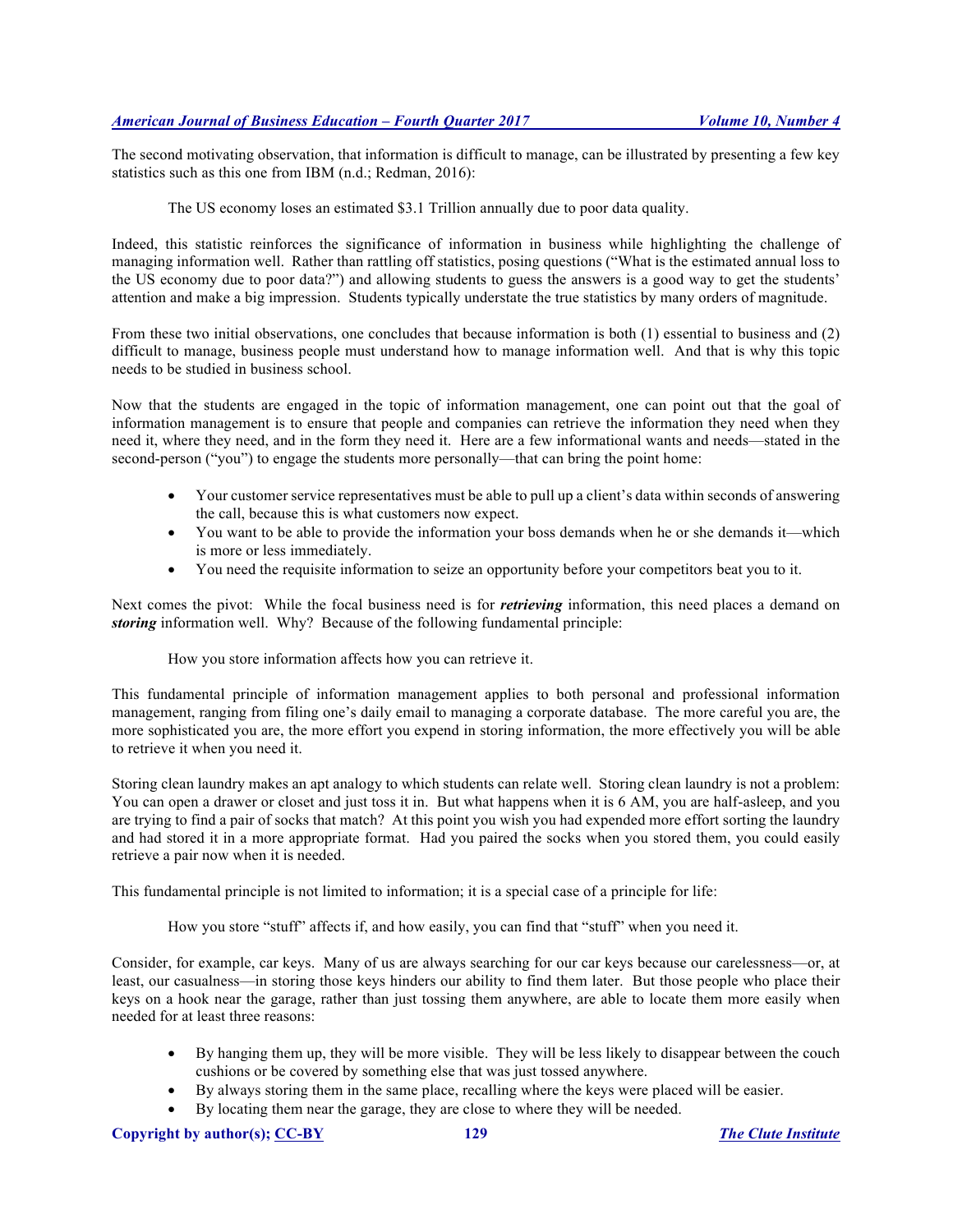The second motivating observation, that information is difficult to manage, can be illustrated by presenting a few key statistics such as this one from IBM (n.d.; Redman, 2016):

The US economy loses an estimated \$3.1 Trillion annually due to poor data quality.

Indeed, this statistic reinforces the significance of information in business while highlighting the challenge of managing information well. Rather than rattling off statistics, posing questions ("What is the estimated annual loss to the US economy due to poor data?") and allowing students to guess the answers is a good way to get the students' attention and make a big impression. Students typically understate the true statistics by many orders of magnitude.

From these two initial observations, one concludes that because information is both (1) essential to business and (2) difficult to manage, business people must understand how to manage information well. And that is why this topic needs to be studied in business school.

Now that the students are engaged in the topic of information management, one can point out that the goal of information management is to ensure that people and companies can retrieve the information they need when they need it, where they need, and in the form they need it. Here are a few informational wants and needs—stated in the second-person ("you") to engage the students more personally—that can bring the point home:

- Your customer service representatives must be able to pull up a client's data within seconds of answering the call, because this is what customers now expect.
- You want to be able to provide the information your boss demands when he or she demands it—which is more or less immediately.
- You need the requisite information to seize an opportunity before your competitors beat you to it.

Next comes the pivot: While the focal business need is for *retrieving* information, this need places a demand on *storing* information well. Why? Because of the following fundamental principle:

How you store information affects how you can retrieve it.

This fundamental principle of information management applies to both personal and professional information management, ranging from filing one's daily email to managing a corporate database. The more careful you are, the more sophisticated you are, the more effort you expend in storing information, the more effectively you will be able to retrieve it when you need it.

Storing clean laundry makes an apt analogy to which students can relate well. Storing clean laundry is not a problem: You can open a drawer or closet and just toss it in. But what happens when it is 6 AM, you are half-asleep, and you are trying to find a pair of socks that match? At this point you wish you had expended more effort sorting the laundry and had stored it in a more appropriate format. Had you paired the socks when you stored them, you could easily retrieve a pair now when it is needed.

This fundamental principle is not limited to information; it is a special case of a principle for life:

How you store "stuff" affects if, and how easily, you can find that "stuff" when you need it.

Consider, for example, car keys. Many of us are always searching for our car keys because our carelessness—or, at least, our casualness—in storing those keys hinders our ability to find them later. But those people who place their keys on a hook near the garage, rather than just tossing them anywhere, are able to locate them more easily when needed for at least three reasons:

- By hanging them up, they will be more visible. They will be less likely to disappear between the couch cushions or be covered by something else that was just tossed anywhere.
- By always storing them in the same place, recalling where the keys were placed will be easier.
- By locating them near the garage, they are close to where they will be needed.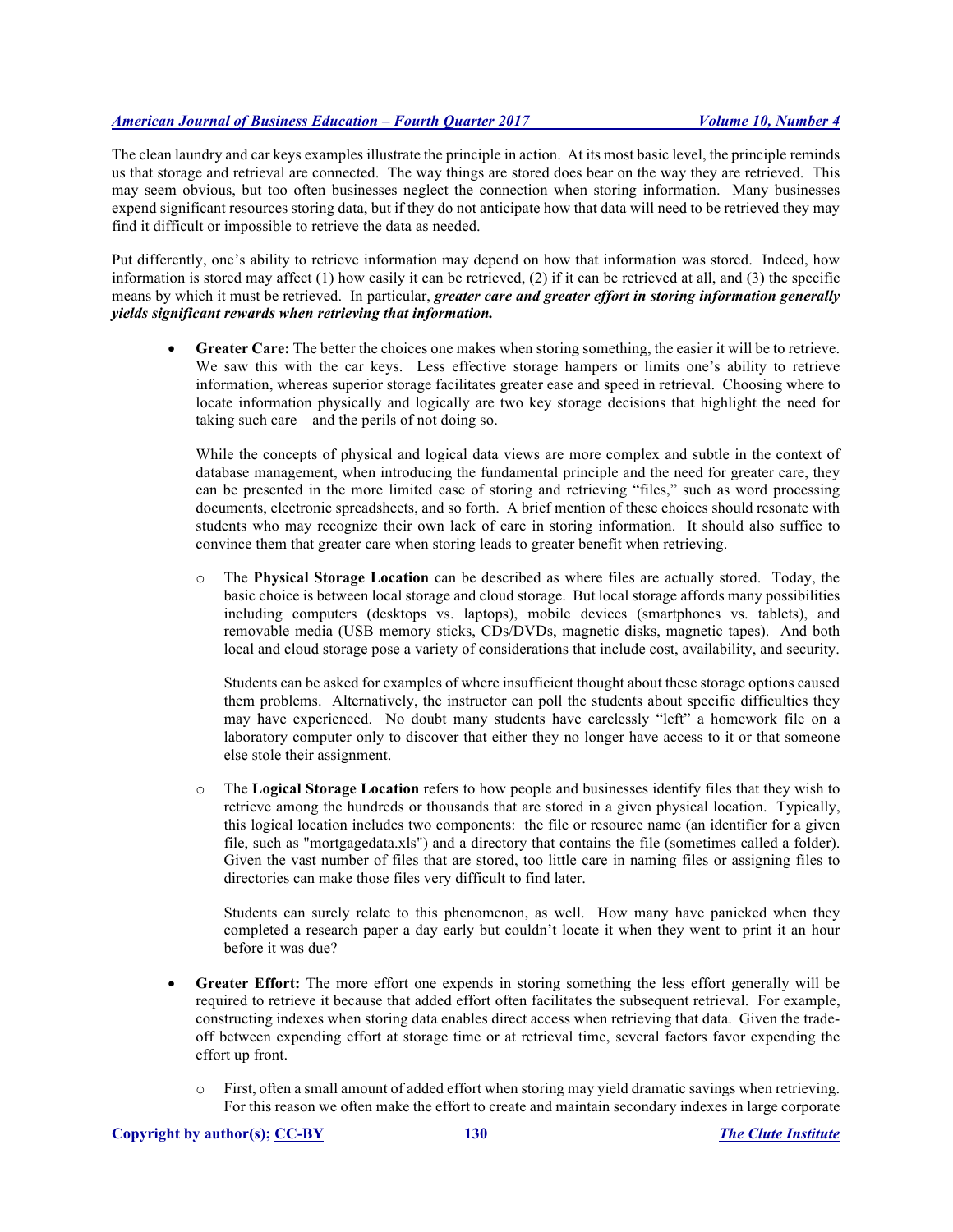The clean laundry and car keys examples illustrate the principle in action. At its most basic level, the principle reminds us that storage and retrieval are connected. The way things are stored does bear on the way they are retrieved. This may seem obvious, but too often businesses neglect the connection when storing information. Many businesses expend significant resources storing data, but if they do not anticipate how that data will need to be retrieved they may find it difficult or impossible to retrieve the data as needed.

Put differently, one's ability to retrieve information may depend on how that information was stored. Indeed, how information is stored may affect  $(1)$  how easily it can be retrieved,  $(2)$  if it can be retrieved at all, and  $(3)$  the specific means by which it must be retrieved. In particular, *greater care and greater effort in storing information generally yields significant rewards when retrieving that information.*

**Greater Care:** The better the choices one makes when storing something, the easier it will be to retrieve. We saw this with the car keys. Less effective storage hampers or limits one's ability to retrieve information, whereas superior storage facilitates greater ease and speed in retrieval. Choosing where to locate information physically and logically are two key storage decisions that highlight the need for taking such care—and the perils of not doing so.

While the concepts of physical and logical data views are more complex and subtle in the context of database management, when introducing the fundamental principle and the need for greater care, they can be presented in the more limited case of storing and retrieving "files," such as word processing documents, electronic spreadsheets, and so forth. A brief mention of these choices should resonate with students who may recognize their own lack of care in storing information. It should also suffice to convince them that greater care when storing leads to greater benefit when retrieving.

o The **Physical Storage Location** can be described as where files are actually stored. Today, the basic choice is between local storage and cloud storage. But local storage affords many possibilities including computers (desktops vs. laptops), mobile devices (smartphones vs. tablets), and removable media (USB memory sticks, CDs/DVDs, magnetic disks, magnetic tapes). And both local and cloud storage pose a variety of considerations that include cost, availability, and security.

Students can be asked for examples of where insufficient thought about these storage options caused them problems. Alternatively, the instructor can poll the students about specific difficulties they may have experienced. No doubt many students have carelessly "left" a homework file on a laboratory computer only to discover that either they no longer have access to it or that someone else stole their assignment.

o The **Logical Storage Location** refers to how people and businesses identify files that they wish to retrieve among the hundreds or thousands that are stored in a given physical location. Typically, this logical location includes two components: the file or resource name (an identifier for a given file, such as "mortgagedata.xls") and a directory that contains the file (sometimes called a folder). Given the vast number of files that are stored, too little care in naming files or assigning files to directories can make those files very difficult to find later.

Students can surely relate to this phenomenon, as well. How many have panicked when they completed a research paper a day early but couldn't locate it when they went to print it an hour before it was due?

- **Greater Effort:** The more effort one expends in storing something the less effort generally will be required to retrieve it because that added effort often facilitates the subsequent retrieval. For example, constructing indexes when storing data enables direct access when retrieving that data. Given the tradeoff between expending effort at storage time or at retrieval time, several factors favor expending the effort up front.
	- $\circ$  First, often a small amount of added effort when storing may yield dramatic savings when retrieving. For this reason we often make the effort to create and maintain secondary indexes in large corporate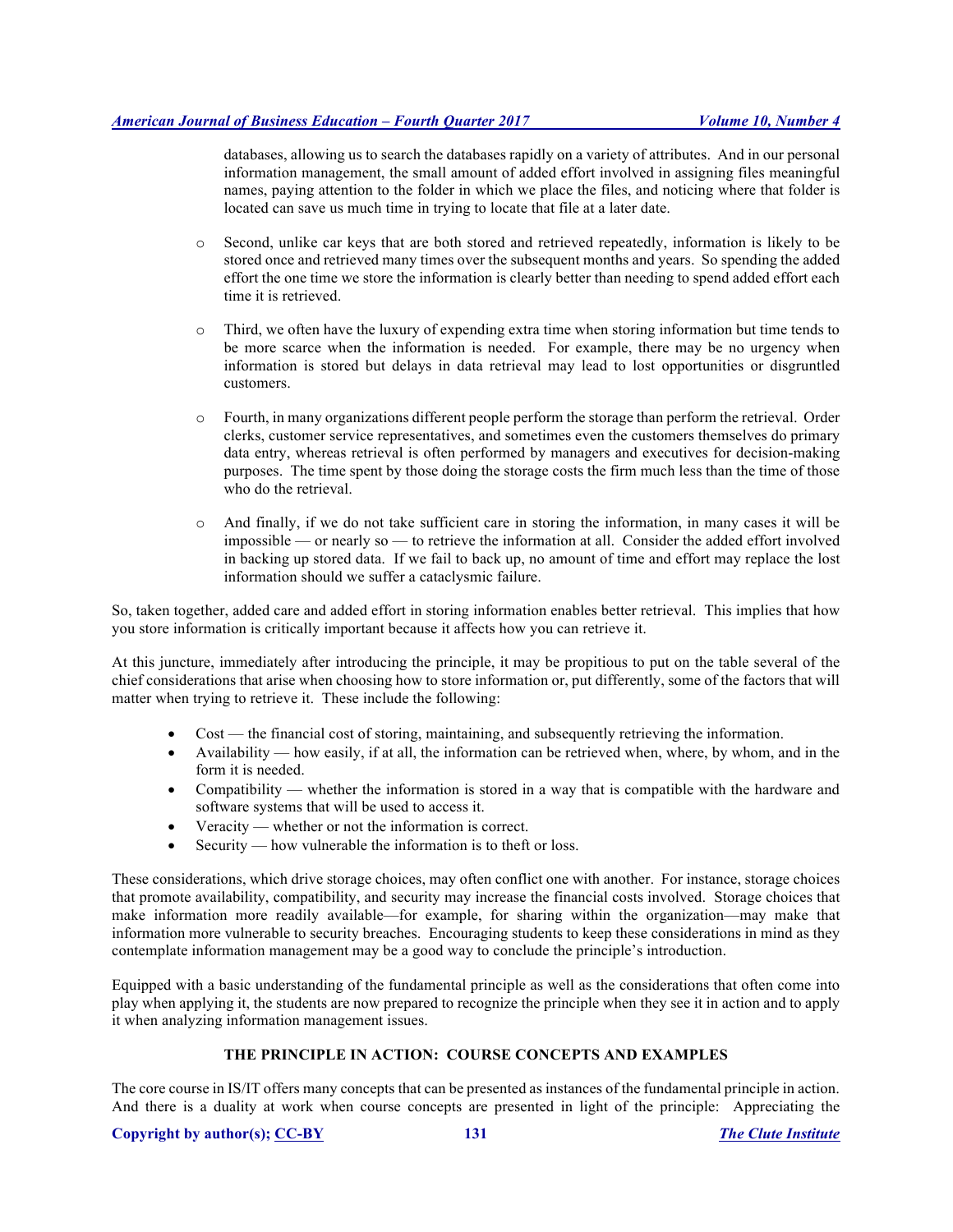databases, allowing us to search the databases rapidly on a variety of attributes. And in our personal information management, the small amount of added effort involved in assigning files meaningful names, paying attention to the folder in which we place the files, and noticing where that folder is located can save us much time in trying to locate that file at a later date.

- o Second, unlike car keys that are both stored and retrieved repeatedly, information is likely to be stored once and retrieved many times over the subsequent months and years. So spending the added effort the one time we store the information is clearly better than needing to spend added effort each time it is retrieved.
- o Third, we often have the luxury of expending extra time when storing information but time tends to be more scarce when the information is needed. For example, there may be no urgency when information is stored but delays in data retrieval may lead to lost opportunities or disgruntled customers.
- o Fourth, in many organizations different people perform the storage than perform the retrieval. Order clerks, customer service representatives, and sometimes even the customers themselves do primary data entry, whereas retrieval is often performed by managers and executives for decision-making purposes. The time spent by those doing the storage costs the firm much less than the time of those who do the retrieval.
- o And finally, if we do not take sufficient care in storing the information, in many cases it will be impossible — or nearly so — to retrieve the information at all. Consider the added effort involved in backing up stored data. If we fail to back up, no amount of time and effort may replace the lost information should we suffer a cataclysmic failure.

So, taken together, added care and added effort in storing information enables better retrieval. This implies that how you store information is critically important because it affects how you can retrieve it.

At this juncture, immediately after introducing the principle, it may be propitious to put on the table several of the chief considerations that arise when choosing how to store information or, put differently, some of the factors that will matter when trying to retrieve it. These include the following:

- Cost the financial cost of storing, maintaining, and subsequently retrieving the information.
- Availability how easily, if at all, the information can be retrieved when, where, by whom, and in the form it is needed.
- Compatibility whether the information is stored in a way that is compatible with the hardware and software systems that will be used to access it.
- Veracity whether or not the information is correct.
- Security how vulnerable the information is to theft or loss.

These considerations, which drive storage choices, may often conflict one with another. For instance, storage choices that promote availability, compatibility, and security may increase the financial costs involved. Storage choices that make information more readily available—for example, for sharing within the organization—may make that information more vulnerable to security breaches. Encouraging students to keep these considerations in mind as they contemplate information management may be a good way to conclude the principle's introduction.

Equipped with a basic understanding of the fundamental principle as well as the considerations that often come into play when applying it, the students are now prepared to recognize the principle when they see it in action and to apply it when analyzing information management issues.

# **THE PRINCIPLE IN ACTION: COURSE CONCEPTS AND EXAMPLES**

The core course in IS/IT offers many concepts that can be presented as instances of the fundamental principle in action. And there is a duality at work when course concepts are presented in light of the principle: Appreciating the

# **Copyright by author(s); CC-BY 131** *The Clute Institute*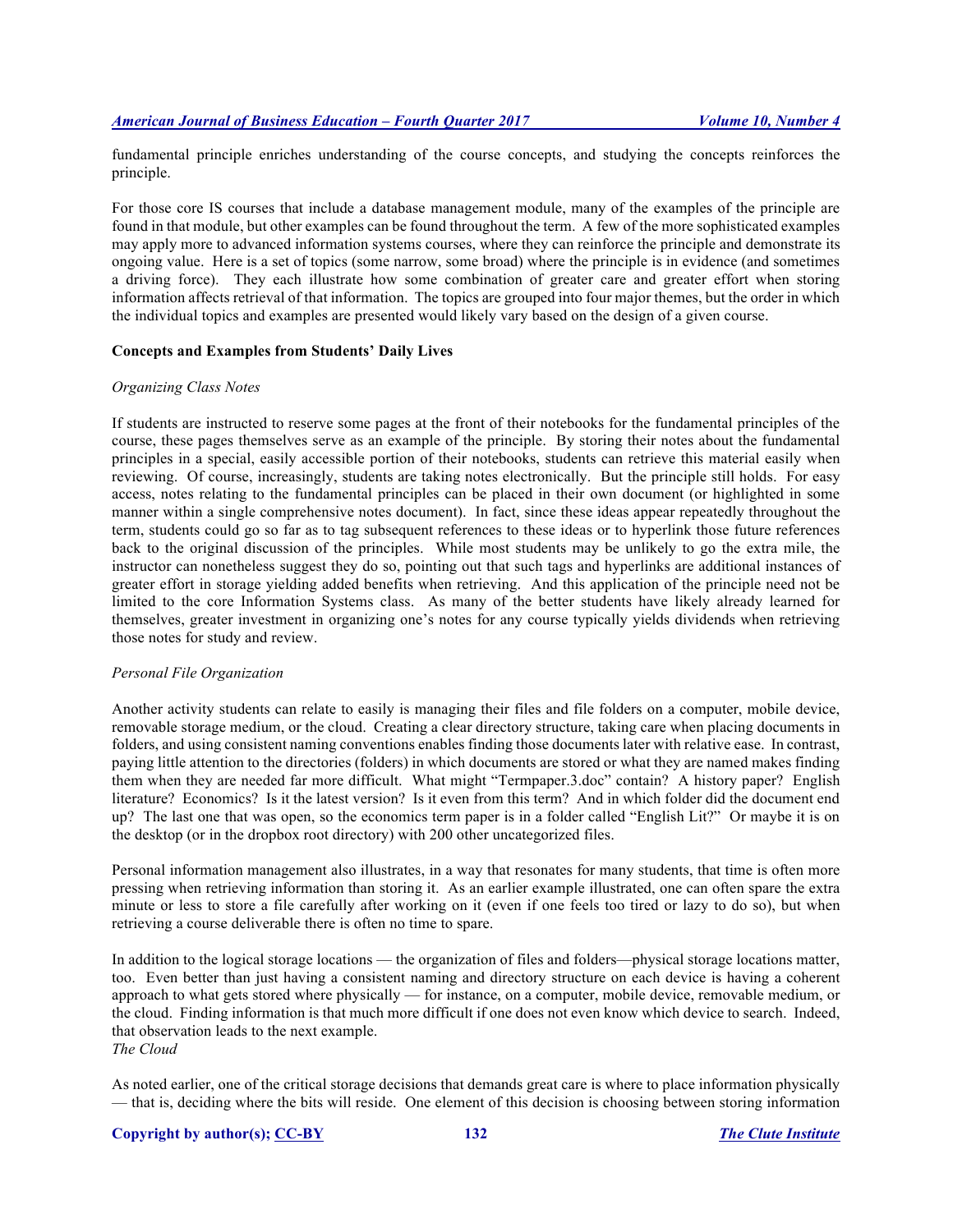fundamental principle enriches understanding of the course concepts, and studying the concepts reinforces the principle.

For those core IS courses that include a database management module, many of the examples of the principle are found in that module, but other examples can be found throughout the term. A few of the more sophisticated examples may apply more to advanced information systems courses, where they can reinforce the principle and demonstrate its ongoing value. Here is a set of topics (some narrow, some broad) where the principle is in evidence (and sometimes a driving force). They each illustrate how some combination of greater care and greater effort when storing information affects retrieval of that information. The topics are grouped into four major themes, but the order in which the individual topics and examples are presented would likely vary based on the design of a given course.

# **Concepts and Examples from Students' Daily Lives**

#### *Organizing Class Notes*

If students are instructed to reserve some pages at the front of their notebooks for the fundamental principles of the course, these pages themselves serve as an example of the principle. By storing their notes about the fundamental principles in a special, easily accessible portion of their notebooks, students can retrieve this material easily when reviewing. Of course, increasingly, students are taking notes electronically. But the principle still holds. For easy access, notes relating to the fundamental principles can be placed in their own document (or highlighted in some manner within a single comprehensive notes document). In fact, since these ideas appear repeatedly throughout the term, students could go so far as to tag subsequent references to these ideas or to hyperlink those future references back to the original discussion of the principles. While most students may be unlikely to go the extra mile, the instructor can nonetheless suggest they do so, pointing out that such tags and hyperlinks are additional instances of greater effort in storage yielding added benefits when retrieving. And this application of the principle need not be limited to the core Information Systems class. As many of the better students have likely already learned for themselves, greater investment in organizing one's notes for any course typically yields dividends when retrieving those notes for study and review.

# *Personal File Organization*

Another activity students can relate to easily is managing their files and file folders on a computer, mobile device, removable storage medium, or the cloud. Creating a clear directory structure, taking care when placing documents in folders, and using consistent naming conventions enables finding those documents later with relative ease. In contrast, paying little attention to the directories (folders) in which documents are stored or what they are named makes finding them when they are needed far more difficult. What might "Termpaper.3.doc" contain? A history paper? English literature? Economics? Is it the latest version? Is it even from this term? And in which folder did the document end up? The last one that was open, so the economics term paper is in a folder called "English Lit?" Or maybe it is on the desktop (or in the dropbox root directory) with 200 other uncategorized files.

Personal information management also illustrates, in a way that resonates for many students, that time is often more pressing when retrieving information than storing it. As an earlier example illustrated, one can often spare the extra minute or less to store a file carefully after working on it (even if one feels too tired or lazy to do so), but when retrieving a course deliverable there is often no time to spare.

In addition to the logical storage locations — the organization of files and folders—physical storage locations matter, too. Even better than just having a consistent naming and directory structure on each device is having a coherent approach to what gets stored where physically — for instance, on a computer, mobile device, removable medium, or the cloud. Finding information is that much more difficult if one does not even know which device to search. Indeed, that observation leads to the next example. *The Cloud*

As noted earlier, one of the critical storage decisions that demands great care is where to place information physically — that is, deciding where the bits will reside. One element of this decision is choosing between storing information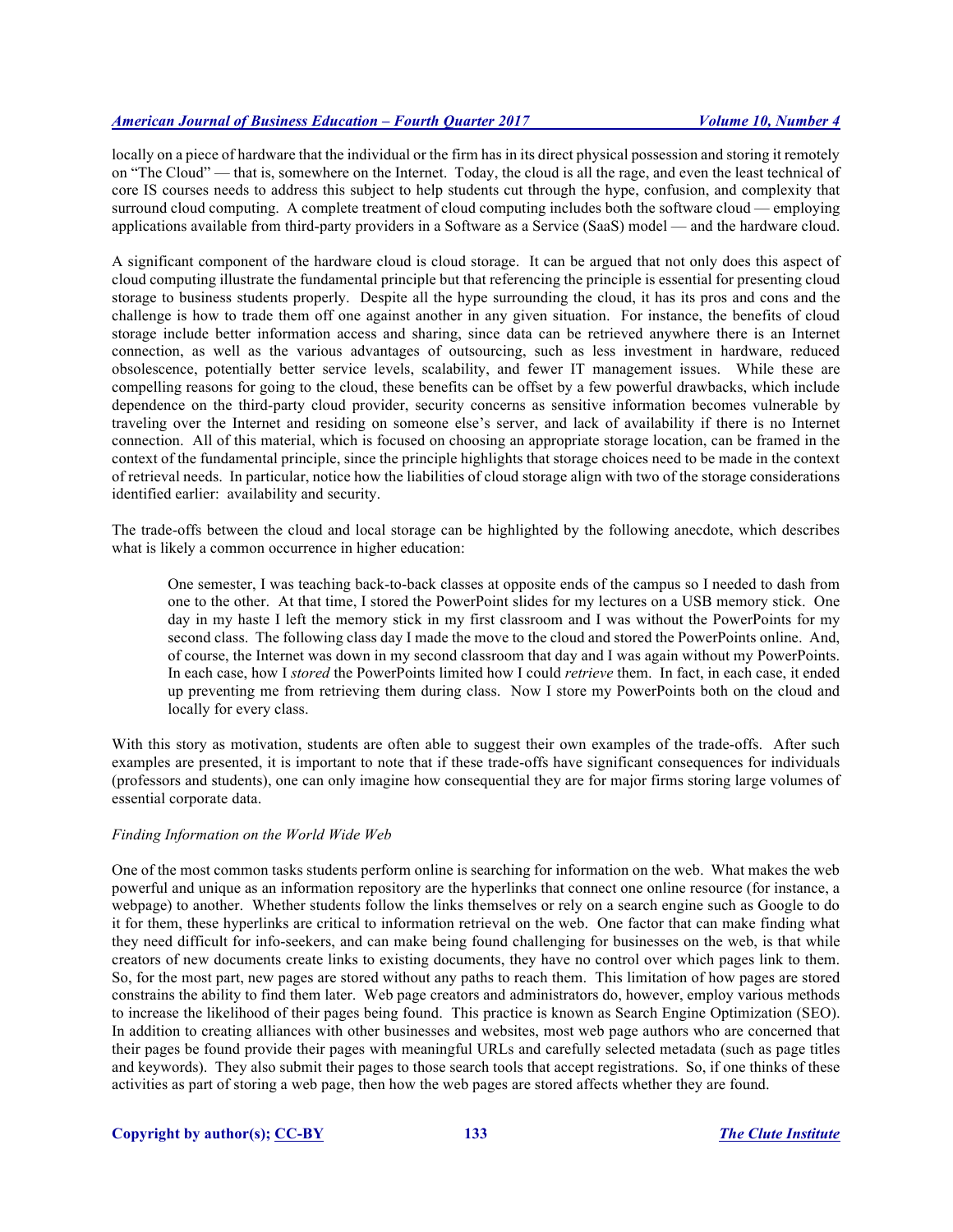locally on a piece of hardware that the individual or the firm has in its direct physical possession and storing it remotely on "The Cloud" — that is, somewhere on the Internet. Today, the cloud is all the rage, and even the least technical of core IS courses needs to address this subject to help students cut through the hype, confusion, and complexity that surround cloud computing. A complete treatment of cloud computing includes both the software cloud — employing applications available from third-party providers in a Software as a Service (SaaS) model — and the hardware cloud.

A significant component of the hardware cloud is cloud storage. It can be argued that not only does this aspect of cloud computing illustrate the fundamental principle but that referencing the principle is essential for presenting cloud storage to business students properly. Despite all the hype surrounding the cloud, it has its pros and cons and the challenge is how to trade them off one against another in any given situation. For instance, the benefits of cloud storage include better information access and sharing, since data can be retrieved anywhere there is an Internet connection, as well as the various advantages of outsourcing, such as less investment in hardware, reduced obsolescence, potentially better service levels, scalability, and fewer IT management issues. While these are compelling reasons for going to the cloud, these benefits can be offset by a few powerful drawbacks, which include dependence on the third-party cloud provider, security concerns as sensitive information becomes vulnerable by traveling over the Internet and residing on someone else's server, and lack of availability if there is no Internet connection. All of this material, which is focused on choosing an appropriate storage location, can be framed in the context of the fundamental principle, since the principle highlights that storage choices need to be made in the context of retrieval needs. In particular, notice how the liabilities of cloud storage align with two of the storage considerations identified earlier: availability and security.

The trade-offs between the cloud and local storage can be highlighted by the following anecdote, which describes what is likely a common occurrence in higher education:

One semester, I was teaching back-to-back classes at opposite ends of the campus so I needed to dash from one to the other. At that time, I stored the PowerPoint slides for my lectures on a USB memory stick. One day in my haste I left the memory stick in my first classroom and I was without the PowerPoints for my second class. The following class day I made the move to the cloud and stored the PowerPoints online. And, of course, the Internet was down in my second classroom that day and I was again without my PowerPoints. In each case, how I *stored* the PowerPoints limited how I could *retrieve* them. In fact, in each case, it ended up preventing me from retrieving them during class. Now I store my PowerPoints both on the cloud and locally for every class.

With this story as motivation, students are often able to suggest their own examples of the trade-offs. After such examples are presented, it is important to note that if these trade-offs have significant consequences for individuals (professors and students), one can only imagine how consequential they are for major firms storing large volumes of essential corporate data.

# *Finding Information on the World Wide Web*

One of the most common tasks students perform online is searching for information on the web. What makes the web powerful and unique as an information repository are the hyperlinks that connect one online resource (for instance, a webpage) to another. Whether students follow the links themselves or rely on a search engine such as Google to do it for them, these hyperlinks are critical to information retrieval on the web. One factor that can make finding what they need difficult for info-seekers, and can make being found challenging for businesses on the web, is that while creators of new documents create links to existing documents, they have no control over which pages link to them. So, for the most part, new pages are stored without any paths to reach them. This limitation of how pages are stored constrains the ability to find them later. Web page creators and administrators do, however, employ various methods to increase the likelihood of their pages being found. This practice is known as Search Engine Optimization (SEO). In addition to creating alliances with other businesses and websites, most web page authors who are concerned that their pages be found provide their pages with meaningful URLs and carefully selected metadata (such as page titles and keywords). They also submit their pages to those search tools that accept registrations. So, if one thinks of these activities as part of storing a web page, then how the web pages are stored affects whether they are found.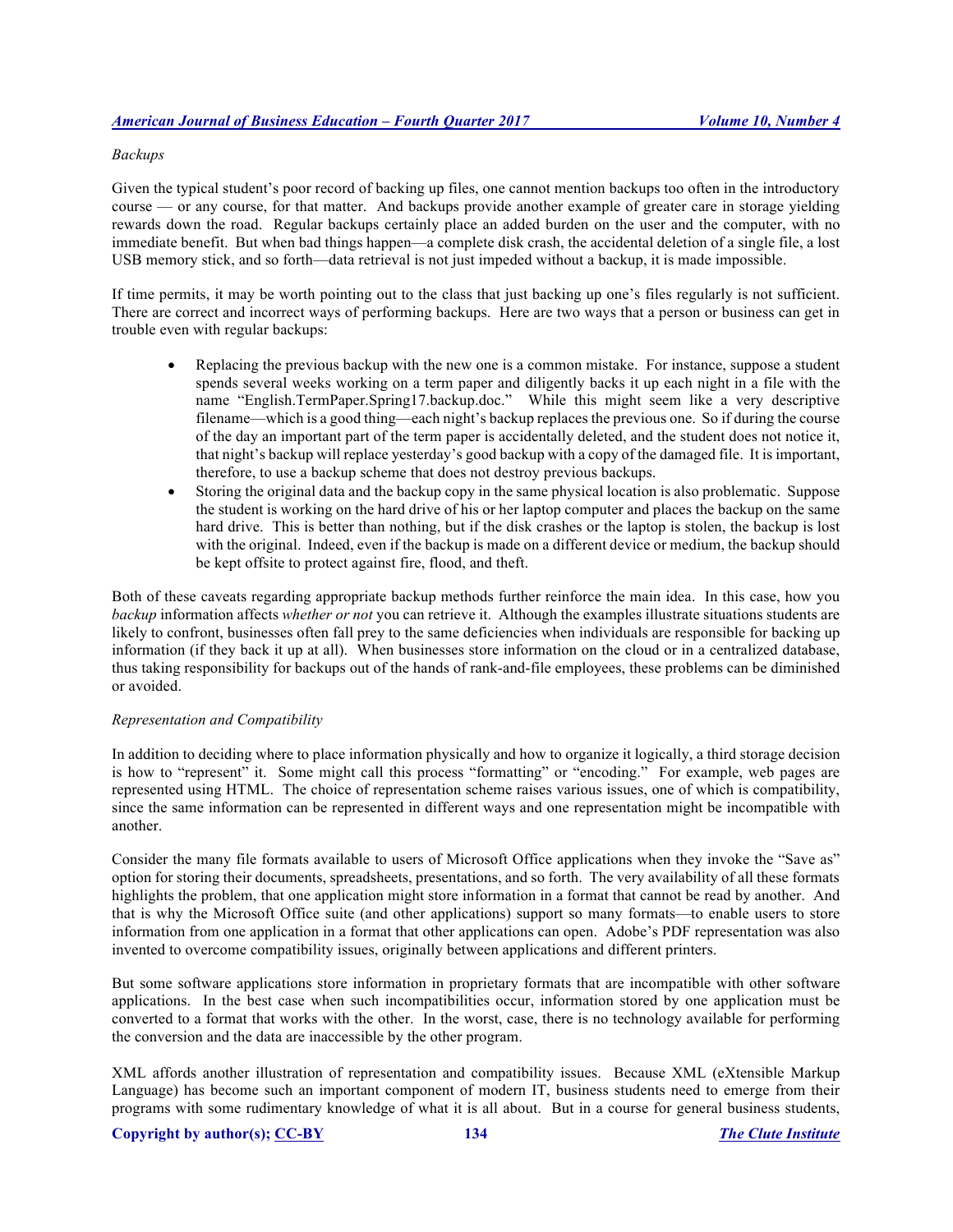### *Backups*

Given the typical student's poor record of backing up files, one cannot mention backups too often in the introductory course — or any course, for that matter. And backups provide another example of greater care in storage yielding rewards down the road. Regular backups certainly place an added burden on the user and the computer, with no immediate benefit. But when bad things happen—a complete disk crash, the accidental deletion of a single file, a lost USB memory stick, and so forth—data retrieval is not just impeded without a backup, it is made impossible.

If time permits, it may be worth pointing out to the class that just backing up one's files regularly is not sufficient. There are correct and incorrect ways of performing backups. Here are two ways that a person or business can get in trouble even with regular backups:

- Replacing the previous backup with the new one is a common mistake. For instance, suppose a student spends several weeks working on a term paper and diligently backs it up each night in a file with the name "English.TermPaper.Spring17.backup.doc." While this might seem like a very descriptive filename—which is a good thing—each night's backup replaces the previous one. So if during the course of the day an important part of the term paper is accidentally deleted, and the student does not notice it, that night's backup will replace yesterday's good backup with a copy of the damaged file. It is important, therefore, to use a backup scheme that does not destroy previous backups.
- Storing the original data and the backup copy in the same physical location is also problematic. Suppose the student is working on the hard drive of his or her laptop computer and places the backup on the same hard drive. This is better than nothing, but if the disk crashes or the laptop is stolen, the backup is lost with the original. Indeed, even if the backup is made on a different device or medium, the backup should be kept offsite to protect against fire, flood, and theft.

Both of these caveats regarding appropriate backup methods further reinforce the main idea. In this case, how you *backup* information affects *whether or not* you can retrieve it. Although the examples illustrate situations students are likely to confront, businesses often fall prey to the same deficiencies when individuals are responsible for backing up information (if they back it up at all). When businesses store information on the cloud or in a centralized database, thus taking responsibility for backups out of the hands of rank-and-file employees, these problems can be diminished or avoided.

# *Representation and Compatibility*

In addition to deciding where to place information physically and how to organize it logically, a third storage decision is how to "represent" it. Some might call this process "formatting" or "encoding." For example, web pages are represented using HTML. The choice of representation scheme raises various issues, one of which is compatibility, since the same information can be represented in different ways and one representation might be incompatible with another.

Consider the many file formats available to users of Microsoft Office applications when they invoke the "Save as" option for storing their documents, spreadsheets, presentations, and so forth. The very availability of all these formats highlights the problem, that one application might store information in a format that cannot be read by another. And that is why the Microsoft Office suite (and other applications) support so many formats—to enable users to store information from one application in a format that other applications can open. Adobe's PDF representation was also invented to overcome compatibility issues, originally between applications and different printers.

But some software applications store information in proprietary formats that are incompatible with other software applications. In the best case when such incompatibilities occur, information stored by one application must be converted to a format that works with the other. In the worst, case, there is no technology available for performing the conversion and the data are inaccessible by the other program.

XML affords another illustration of representation and compatibility issues. Because XML (eXtensible Markup Language) has become such an important component of modern IT, business students need to emerge from their programs with some rudimentary knowledge of what it is all about. But in a course for general business students,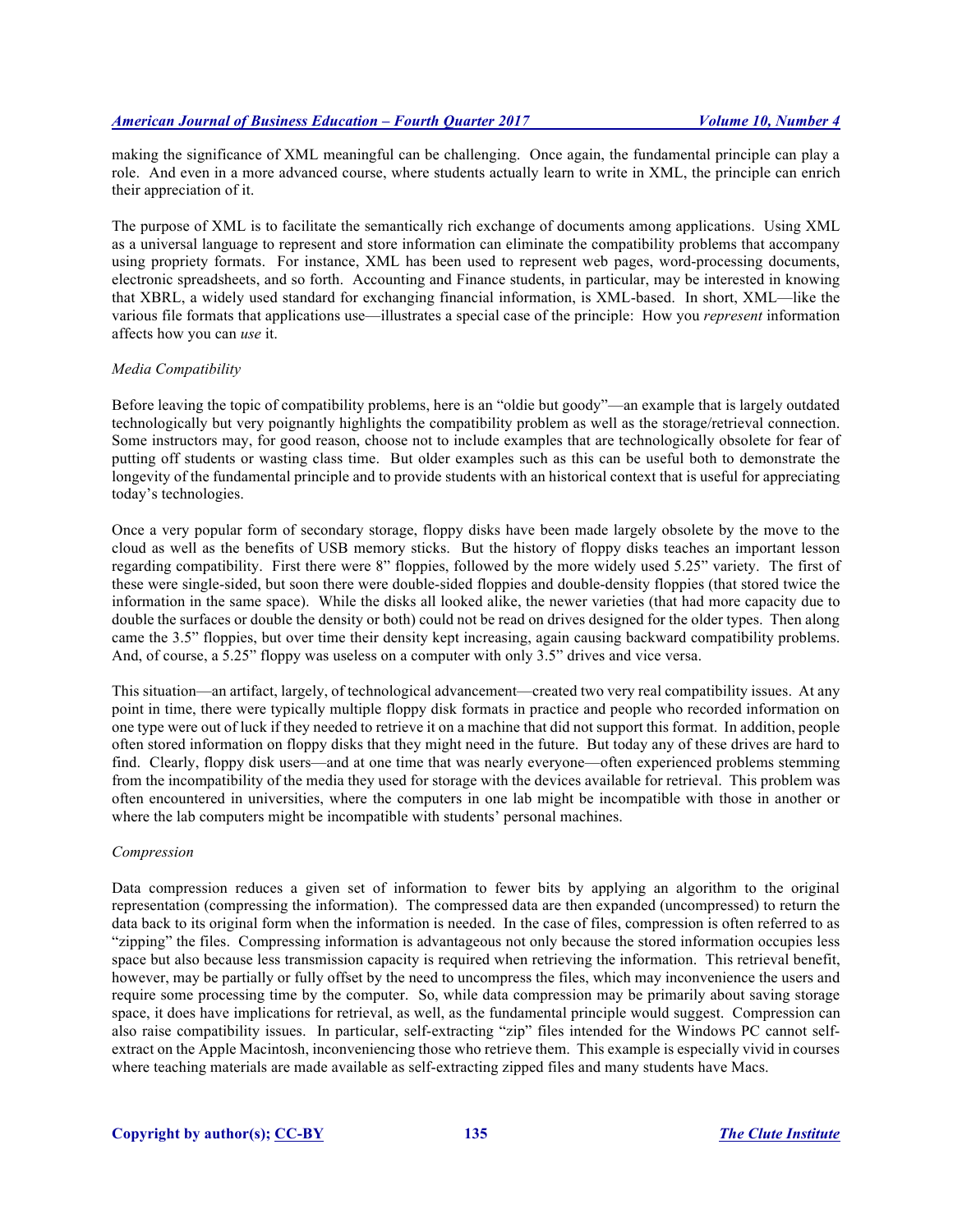making the significance of XML meaningful can be challenging. Once again, the fundamental principle can play a role. And even in a more advanced course, where students actually learn to write in XML, the principle can enrich their appreciation of it.

The purpose of XML is to facilitate the semantically rich exchange of documents among applications. Using XML as a universal language to represent and store information can eliminate the compatibility problems that accompany using propriety formats. For instance, XML has been used to represent web pages, word-processing documents, electronic spreadsheets, and so forth. Accounting and Finance students, in particular, may be interested in knowing that XBRL, a widely used standard for exchanging financial information, is XML-based. In short, XML—like the various file formats that applications use—illustrates a special case of the principle: How you *represent* information affects how you can *use* it.

# *Media Compatibility*

Before leaving the topic of compatibility problems, here is an "oldie but goody"—an example that is largely outdated technologically but very poignantly highlights the compatibility problem as well as the storage/retrieval connection. Some instructors may, for good reason, choose not to include examples that are technologically obsolete for fear of putting off students or wasting class time. But older examples such as this can be useful both to demonstrate the longevity of the fundamental principle and to provide students with an historical context that is useful for appreciating today's technologies.

Once a very popular form of secondary storage, floppy disks have been made largely obsolete by the move to the cloud as well as the benefits of USB memory sticks. But the history of floppy disks teaches an important lesson regarding compatibility. First there were 8" floppies, followed by the more widely used 5.25" variety. The first of these were single-sided, but soon there were double-sided floppies and double-density floppies (that stored twice the information in the same space). While the disks all looked alike, the newer varieties (that had more capacity due to double the surfaces or double the density or both) could not be read on drives designed for the older types. Then along came the 3.5" floppies, but over time their density kept increasing, again causing backward compatibility problems. And, of course, a 5.25" floppy was useless on a computer with only 3.5" drives and vice versa.

This situation—an artifact, largely, of technological advancement—created two very real compatibility issues. At any point in time, there were typically multiple floppy disk formats in practice and people who recorded information on one type were out of luck if they needed to retrieve it on a machine that did not support this format. In addition, people often stored information on floppy disks that they might need in the future. But today any of these drives are hard to find. Clearly, floppy disk users—and at one time that was nearly everyone—often experienced problems stemming from the incompatibility of the media they used for storage with the devices available for retrieval. This problem was often encountered in universities, where the computers in one lab might be incompatible with those in another or where the lab computers might be incompatible with students' personal machines.

#### *Compression*

Data compression reduces a given set of information to fewer bits by applying an algorithm to the original representation (compressing the information). The compressed data are then expanded (uncompressed) to return the data back to its original form when the information is needed. In the case of files, compression is often referred to as "zipping" the files. Compressing information is advantageous not only because the stored information occupies less space but also because less transmission capacity is required when retrieving the information. This retrieval benefit, however, may be partially or fully offset by the need to uncompress the files, which may inconvenience the users and require some processing time by the computer. So, while data compression may be primarily about saving storage space, it does have implications for retrieval, as well, as the fundamental principle would suggest. Compression can also raise compatibility issues. In particular, self-extracting "zip" files intended for the Windows PC cannot selfextract on the Apple Macintosh, inconveniencing those who retrieve them. This example is especially vivid in courses where teaching materials are made available as self-extracting zipped files and many students have Macs.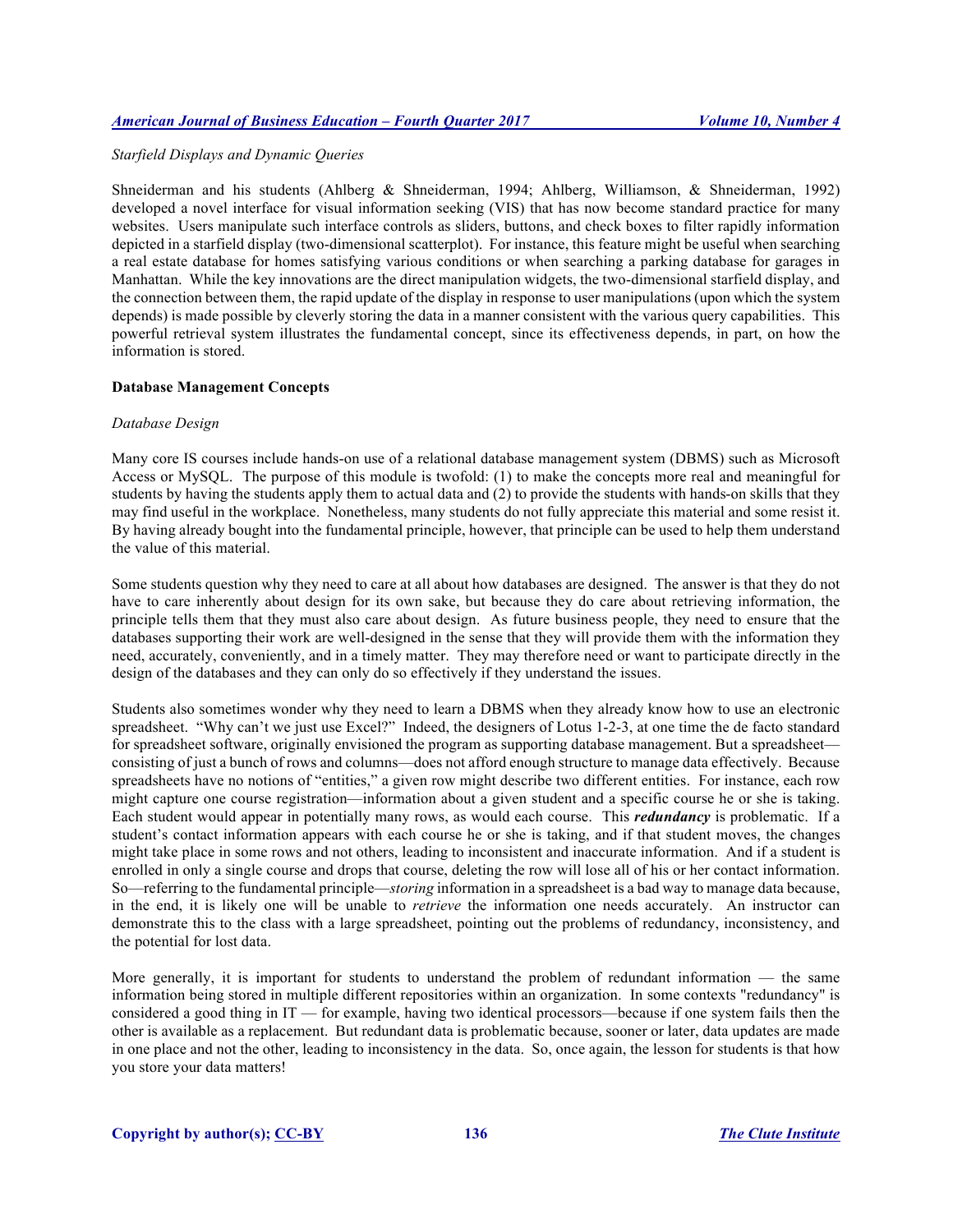# *Starfield Displays and Dynamic Queries*

Shneiderman and his students (Ahlberg & Shneiderman, 1994; Ahlberg, Williamson, & Shneiderman, 1992) developed a novel interface for visual information seeking (VIS) that has now become standard practice for many websites. Users manipulate such interface controls as sliders, buttons, and check boxes to filter rapidly information depicted in a starfield display (two-dimensional scatterplot). For instance, this feature might be useful when searching a real estate database for homes satisfying various conditions or when searching a parking database for garages in Manhattan. While the key innovations are the direct manipulation widgets, the two-dimensional starfield display, and the connection between them, the rapid update of the display in response to user manipulations (upon which the system depends) is made possible by cleverly storing the data in a manner consistent with the various query capabilities. This powerful retrieval system illustrates the fundamental concept, since its effectiveness depends, in part, on how the information is stored.

# **Database Management Concepts**

#### *Database Design*

Many core IS courses include hands-on use of a relational database management system (DBMS) such as Microsoft Access or MySQL. The purpose of this module is twofold: (1) to make the concepts more real and meaningful for students by having the students apply them to actual data and (2) to provide the students with hands-on skills that they may find useful in the workplace. Nonetheless, many students do not fully appreciate this material and some resist it. By having already bought into the fundamental principle, however, that principle can be used to help them understand the value of this material.

Some students question why they need to care at all about how databases are designed. The answer is that they do not have to care inherently about design for its own sake, but because they do care about retrieving information, the principle tells them that they must also care about design. As future business people, they need to ensure that the databases supporting their work are well-designed in the sense that they will provide them with the information they need, accurately, conveniently, and in a timely matter. They may therefore need or want to participate directly in the design of the databases and they can only do so effectively if they understand the issues.

Students also sometimes wonder why they need to learn a DBMS when they already know how to use an electronic spreadsheet. "Why can't we just use Excel?" Indeed, the designers of Lotus 1-2-3, at one time the de facto standard for spreadsheet software, originally envisioned the program as supporting database management. But a spreadsheet consisting of just a bunch of rows and columns—does not afford enough structure to manage data effectively. Because spreadsheets have no notions of "entities," a given row might describe two different entities. For instance, each row might capture one course registration—information about a given student and a specific course he or she is taking. Each student would appear in potentially many rows, as would each course. This *redundancy* is problematic. If a student's contact information appears with each course he or she is taking, and if that student moves, the changes might take place in some rows and not others, leading to inconsistent and inaccurate information. And if a student is enrolled in only a single course and drops that course, deleting the row will lose all of his or her contact information. So—referring to the fundamental principle—*storing* information in a spreadsheet is a bad way to manage data because, in the end, it is likely one will be unable to *retrieve* the information one needs accurately. An instructor can demonstrate this to the class with a large spreadsheet, pointing out the problems of redundancy, inconsistency, and the potential for lost data.

More generally, it is important for students to understand the problem of redundant information — the same information being stored in multiple different repositories within an organization. In some contexts "redundancy" is considered a good thing in IT — for example, having two identical processors—because if one system fails then the other is available as a replacement. But redundant data is problematic because, sooner or later, data updates are made in one place and not the other, leading to inconsistency in the data. So, once again, the lesson for students is that how you store your data matters!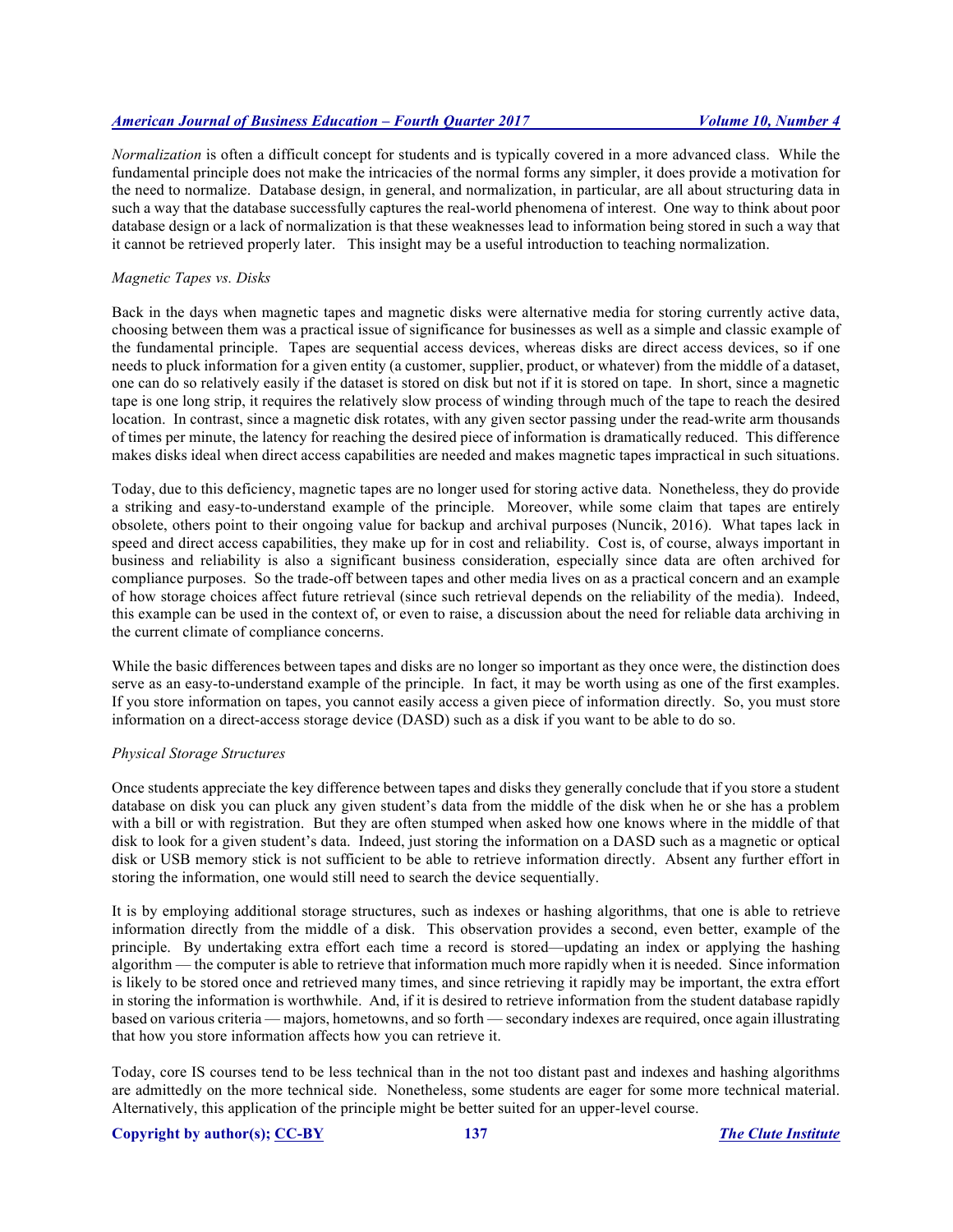*Normalization* is often a difficult concept for students and is typically covered in a more advanced class. While the fundamental principle does not make the intricacies of the normal forms any simpler, it does provide a motivation for the need to normalize. Database design, in general, and normalization, in particular, are all about structuring data in such a way that the database successfully captures the real-world phenomena of interest. One way to think about poor database design or a lack of normalization is that these weaknesses lead to information being stored in such a way that it cannot be retrieved properly later. This insight may be a useful introduction to teaching normalization.

# *Magnetic Tapes vs. Disks*

Back in the days when magnetic tapes and magnetic disks were alternative media for storing currently active data, choosing between them was a practical issue of significance for businesses as well as a simple and classic example of the fundamental principle. Tapes are sequential access devices, whereas disks are direct access devices, so if one needs to pluck information for a given entity (a customer, supplier, product, or whatever) from the middle of a dataset, one can do so relatively easily if the dataset is stored on disk but not if it is stored on tape. In short, since a magnetic tape is one long strip, it requires the relatively slow process of winding through much of the tape to reach the desired location. In contrast, since a magnetic disk rotates, with any given sector passing under the read-write arm thousands of times per minute, the latency for reaching the desired piece of information is dramatically reduced. This difference makes disks ideal when direct access capabilities are needed and makes magnetic tapes impractical in such situations.

Today, due to this deficiency, magnetic tapes are no longer used for storing active data. Nonetheless, they do provide a striking and easy-to-understand example of the principle. Moreover, while some claim that tapes are entirely obsolete, others point to their ongoing value for backup and archival purposes (Nuncik, 2016). What tapes lack in speed and direct access capabilities, they make up for in cost and reliability. Cost is, of course, always important in business and reliability is also a significant business consideration, especially since data are often archived for compliance purposes. So the trade-off between tapes and other media lives on as a practical concern and an example of how storage choices affect future retrieval (since such retrieval depends on the reliability of the media). Indeed, this example can be used in the context of, or even to raise, a discussion about the need for reliable data archiving in the current climate of compliance concerns.

While the basic differences between tapes and disks are no longer so important as they once were, the distinction does serve as an easy-to-understand example of the principle. In fact, it may be worth using as one of the first examples. If you store information on tapes, you cannot easily access a given piece of information directly. So, you must store information on a direct-access storage device (DASD) such as a disk if you want to be able to do so.

# *Physical Storage Structures*

Once students appreciate the key difference between tapes and disks they generally conclude that if you store a student database on disk you can pluck any given student's data from the middle of the disk when he or she has a problem with a bill or with registration. But they are often stumped when asked how one knows where in the middle of that disk to look for a given student's data. Indeed, just storing the information on a DASD such as a magnetic or optical disk or USB memory stick is not sufficient to be able to retrieve information directly. Absent any further effort in storing the information, one would still need to search the device sequentially.

It is by employing additional storage structures, such as indexes or hashing algorithms, that one is able to retrieve information directly from the middle of a disk. This observation provides a second, even better, example of the principle. By undertaking extra effort each time a record is stored—updating an index or applying the hashing algorithm — the computer is able to retrieve that information much more rapidly when it is needed. Since information is likely to be stored once and retrieved many times, and since retrieving it rapidly may be important, the extra effort in storing the information is worthwhile. And, if it is desired to retrieve information from the student database rapidly based on various criteria — majors, hometowns, and so forth — secondary indexes are required, once again illustrating that how you store information affects how you can retrieve it.

Today, core IS courses tend to be less technical than in the not too distant past and indexes and hashing algorithms are admittedly on the more technical side. Nonetheless, some students are eager for some more technical material. Alternatively, this application of the principle might be better suited for an upper-level course.

# **Copyright by author(s); CC-BY 137** *The Clute Institute*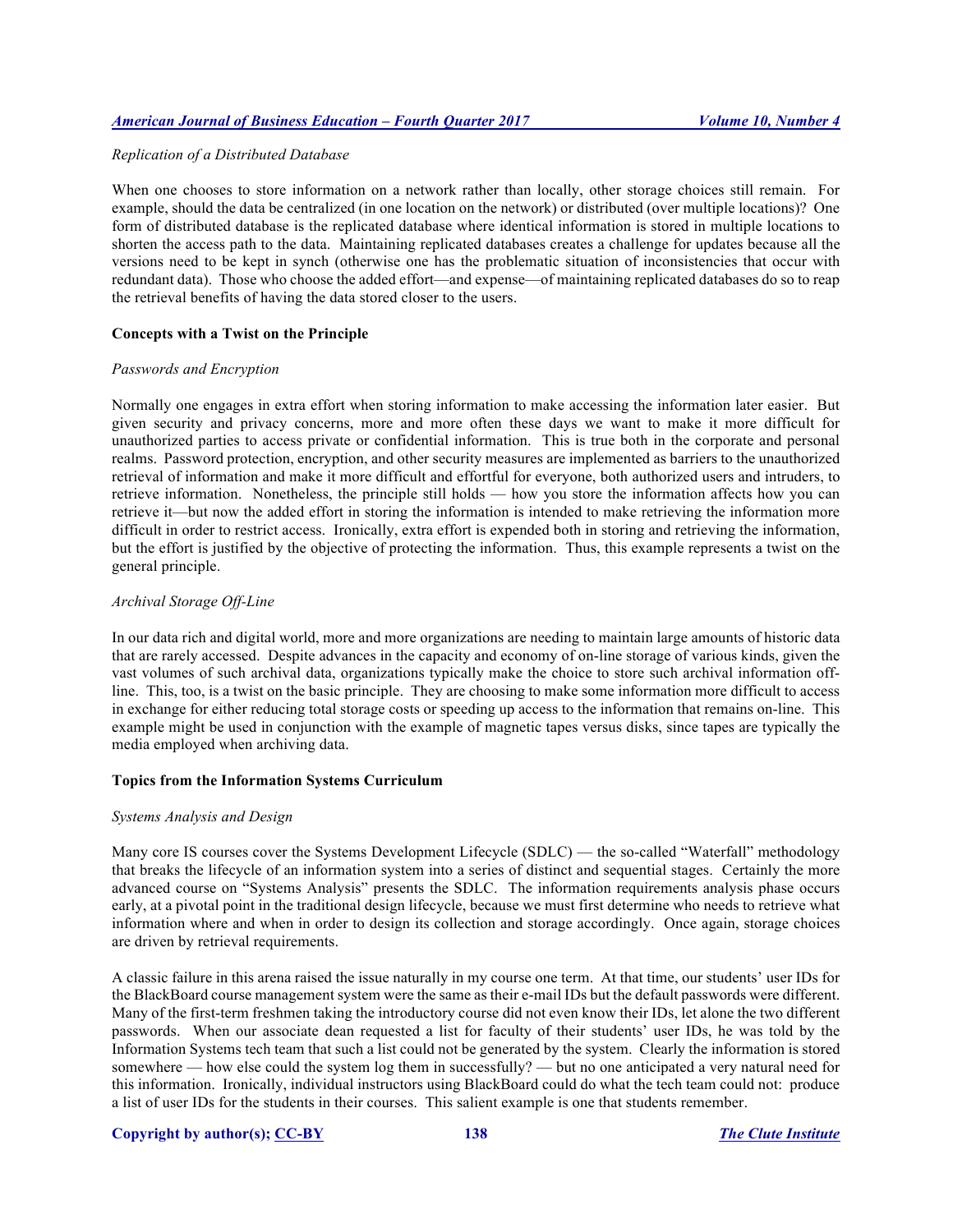## *Replication of a Distributed Database*

When one chooses to store information on a network rather than locally, other storage choices still remain. For example, should the data be centralized (in one location on the network) or distributed (over multiple locations)? One form of distributed database is the replicated database where identical information is stored in multiple locations to shorten the access path to the data. Maintaining replicated databases creates a challenge for updates because all the versions need to be kept in synch (otherwise one has the problematic situation of inconsistencies that occur with redundant data). Those who choose the added effort—and expense—of maintaining replicated databases do so to reap the retrieval benefits of having the data stored closer to the users.

# **Concepts with a Twist on the Principle**

#### *Passwords and Encryption*

Normally one engages in extra effort when storing information to make accessing the information later easier. But given security and privacy concerns, more and more often these days we want to make it more difficult for unauthorized parties to access private or confidential information. This is true both in the corporate and personal realms. Password protection, encryption, and other security measures are implemented as barriers to the unauthorized retrieval of information and make it more difficult and effortful for everyone, both authorized users and intruders, to retrieve information. Nonetheless, the principle still holds — how you store the information affects how you can retrieve it—but now the added effort in storing the information is intended to make retrieving the information more difficult in order to restrict access. Ironically, extra effort is expended both in storing and retrieving the information, but the effort is justified by the objective of protecting the information. Thus, this example represents a twist on the general principle.

# *Archival Storage Off-Line*

In our data rich and digital world, more and more organizations are needing to maintain large amounts of historic data that are rarely accessed. Despite advances in the capacity and economy of on-line storage of various kinds, given the vast volumes of such archival data, organizations typically make the choice to store such archival information offline. This, too, is a twist on the basic principle. They are choosing to make some information more difficult to access in exchange for either reducing total storage costs or speeding up access to the information that remains on-line. This example might be used in conjunction with the example of magnetic tapes versus disks, since tapes are typically the media employed when archiving data.

#### **Topics from the Information Systems Curriculum**

# *Systems Analysis and Design*

Many core IS courses cover the Systems Development Lifecycle (SDLC) — the so-called "Waterfall" methodology that breaks the lifecycle of an information system into a series of distinct and sequential stages. Certainly the more advanced course on "Systems Analysis" presents the SDLC. The information requirements analysis phase occurs early, at a pivotal point in the traditional design lifecycle, because we must first determine who needs to retrieve what information where and when in order to design its collection and storage accordingly. Once again, storage choices are driven by retrieval requirements.

A classic failure in this arena raised the issue naturally in my course one term. At that time, our students' user IDs for the BlackBoard course management system were the same as their e-mail IDs but the default passwords were different. Many of the first-term freshmen taking the introductory course did not even know their IDs, let alone the two different passwords. When our associate dean requested a list for faculty of their students' user IDs, he was told by the Information Systems tech team that such a list could not be generated by the system. Clearly the information is stored somewhere — how else could the system log them in successfully? — but no one anticipated a very natural need for this information. Ironically, individual instructors using BlackBoard could do what the tech team could not: produce a list of user IDs for the students in their courses. This salient example is one that students remember.

#### **Copyright by author(s); CC-BY 138** *The Clute Institute*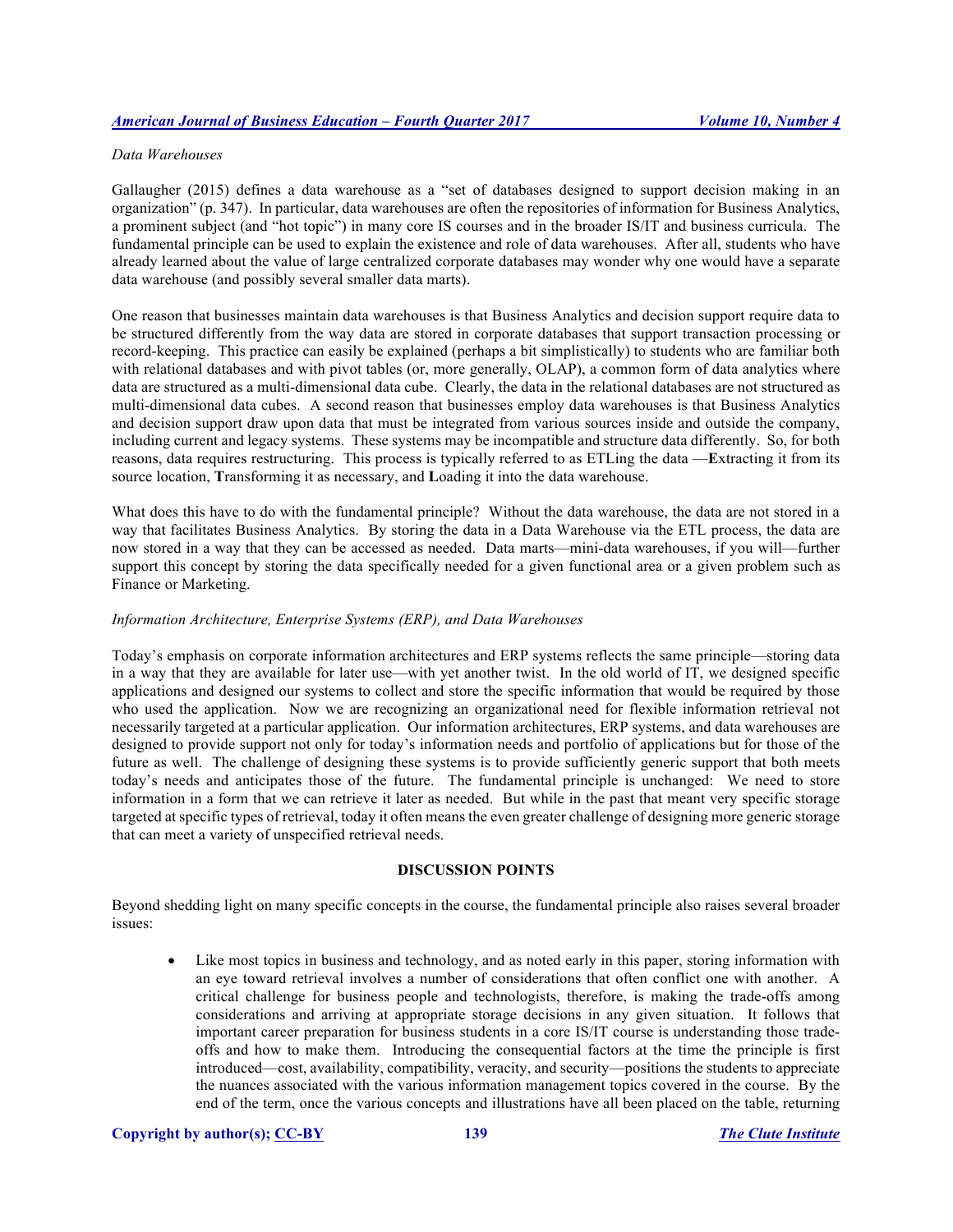# *Data Warehouses*

Gallaugher (2015) defines a data warehouse as a "set of databases designed to support decision making in an organization" (p. 347). In particular, data warehouses are often the repositories of information for Business Analytics, a prominent subject (and "hot topic") in many core IS courses and in the broader IS/IT and business curricula. The fundamental principle can be used to explain the existence and role of data warehouses. After all, students who have already learned about the value of large centralized corporate databases may wonder why one would have a separate data warehouse (and possibly several smaller data marts).

One reason that businesses maintain data warehouses is that Business Analytics and decision support require data to be structured differently from the way data are stored in corporate databases that support transaction processing or record-keeping. This practice can easily be explained (perhaps a bit simplistically) to students who are familiar both with relational databases and with pivot tables (or, more generally, OLAP), a common form of data analytics where data are structured as a multi-dimensional data cube. Clearly, the data in the relational databases are not structured as multi-dimensional data cubes. A second reason that businesses employ data warehouses is that Business Analytics and decision support draw upon data that must be integrated from various sources inside and outside the company, including current and legacy systems. These systems may be incompatible and structure data differently. So, for both reasons, data requires restructuring. This process is typically referred to as ETLing the data —**E**xtracting it from its source location, **T**ransforming it as necessary, and **L**oading it into the data warehouse.

What does this have to do with the fundamental principle? Without the data warehouse, the data are not stored in a way that facilitates Business Analytics. By storing the data in a Data Warehouse via the ETL process, the data are now stored in a way that they can be accessed as needed. Data marts—mini-data warehouses, if you will—further support this concept by storing the data specifically needed for a given functional area or a given problem such as Finance or Marketing.

# *Information Architecture, Enterprise Systems (ERP), and Data Warehouses*

Today's emphasis on corporate information architectures and ERP systems reflects the same principle—storing data in a way that they are available for later use—with yet another twist. In the old world of IT, we designed specific applications and designed our systems to collect and store the specific information that would be required by those who used the application. Now we are recognizing an organizational need for flexible information retrieval not necessarily targeted at a particular application. Our information architectures, ERP systems, and data warehouses are designed to provide support not only for today's information needs and portfolio of applications but for those of the future as well. The challenge of designing these systems is to provide sufficiently generic support that both meets today's needs and anticipates those of the future. The fundamental principle is unchanged: We need to store information in a form that we can retrieve it later as needed. But while in the past that meant very specific storage targeted at specific types of retrieval, today it often means the even greater challenge of designing more generic storage that can meet a variety of unspecified retrieval needs.

# **DISCUSSION POINTS**

Beyond shedding light on many specific concepts in the course, the fundamental principle also raises several broader issues:

• Like most topics in business and technology, and as noted early in this paper, storing information with an eye toward retrieval involves a number of considerations that often conflict one with another. A critical challenge for business people and technologists, therefore, is making the trade-offs among considerations and arriving at appropriate storage decisions in any given situation. It follows that important career preparation for business students in a core IS/IT course is understanding those tradeoffs and how to make them. Introducing the consequential factors at the time the principle is first introduced—cost, availability, compatibility, veracity, and security—positions the students to appreciate the nuances associated with the various information management topics covered in the course. By the end of the term, once the various concepts and illustrations have all been placed on the table, returning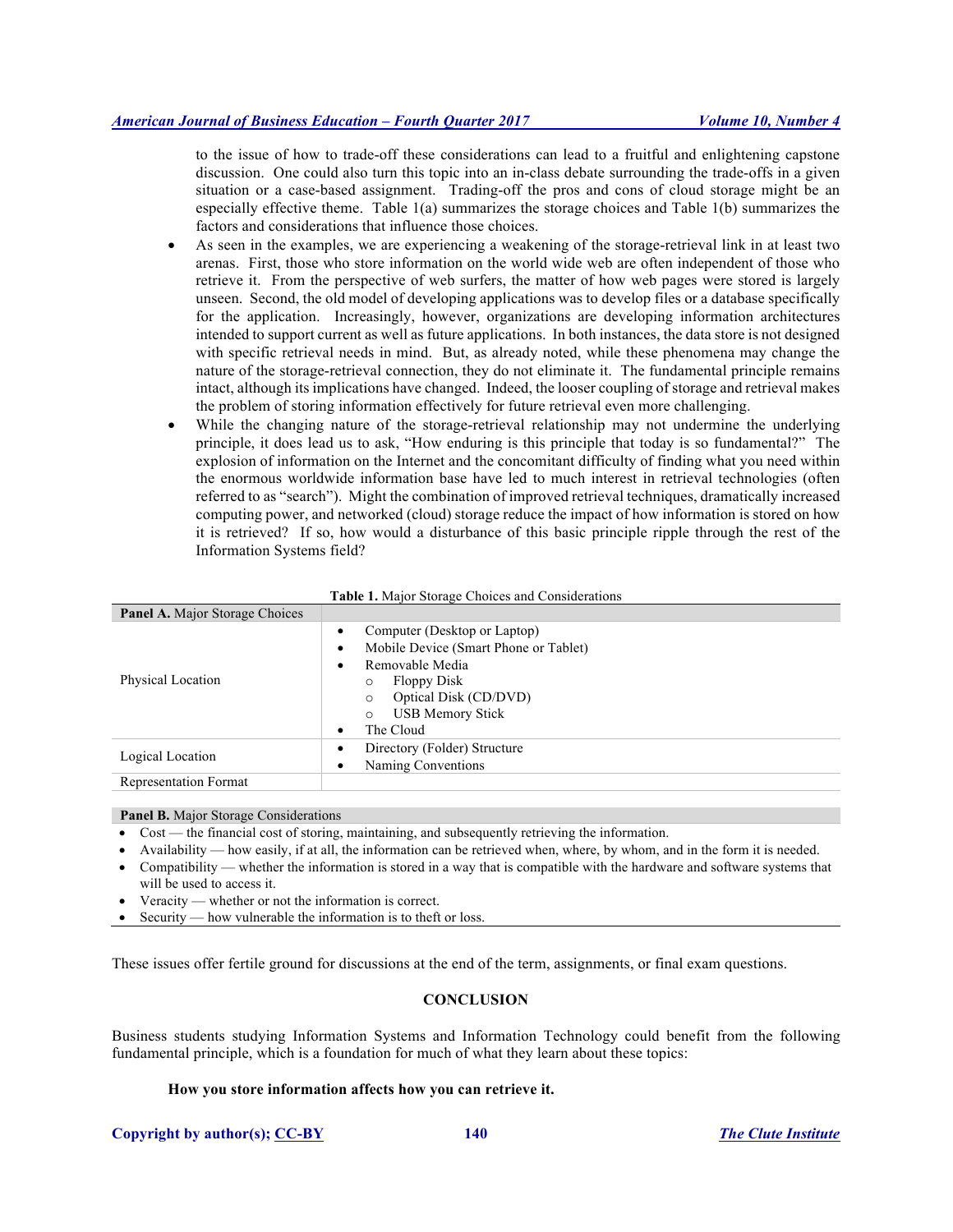to the issue of how to trade-off these considerations can lead to a fruitful and enlightening capstone discussion. One could also turn this topic into an in-class debate surrounding the trade-offs in a given situation or a case-based assignment. Trading-off the pros and cons of cloud storage might be an especially effective theme. Table 1(a) summarizes the storage choices and Table 1(b) summarizes the factors and considerations that influence those choices.

- As seen in the examples, we are experiencing a weakening of the storage-retrieval link in at least two arenas. First, those who store information on the world wide web are often independent of those who retrieve it. From the perspective of web surfers, the matter of how web pages were stored is largely unseen. Second, the old model of developing applications was to develop files or a database specifically for the application. Increasingly, however, organizations are developing information architectures intended to support current as well as future applications. In both instances, the data store is not designed with specific retrieval needs in mind. But, as already noted, while these phenomena may change the nature of the storage-retrieval connection, they do not eliminate it. The fundamental principle remains intact, although its implications have changed. Indeed, the looser coupling of storage and retrieval makes the problem of storing information effectively for future retrieval even more challenging.
- While the changing nature of the storage-retrieval relationship may not undermine the underlying principle, it does lead us to ask, "How enduring is this principle that today is so fundamental?" The explosion of information on the Internet and the concomitant difficulty of finding what you need within the enormous worldwide information base have led to much interest in retrieval technologies (often referred to as "search"). Might the combination of improved retrieval techniques, dramatically increased computing power, and networked (cloud) storage reduce the impact of how information is stored on how it is retrieved? If so, how would a disturbance of this basic principle ripple through the rest of the Information Systems field?

| Table 1. Major Storage Choices and Considerations |                                                                                                                                                                                                                      |  |
|---------------------------------------------------|----------------------------------------------------------------------------------------------------------------------------------------------------------------------------------------------------------------------|--|
| <b>Panel A.</b> Major Storage Choices             |                                                                                                                                                                                                                      |  |
| Physical Location                                 | Computer (Desktop or Laptop)<br>Mobile Device (Smart Phone or Tablet)<br>Removable Media<br>٠<br><b>Floppy Disk</b><br>O<br>Optical Disk (CD/DVD)<br>$\circ$<br><b>USB Memory Stick</b><br>$\circ$<br>The Cloud<br>٠ |  |
| Logical Location                                  | Directory (Folder) Structure<br>Naming Conventions                                                                                                                                                                   |  |
| <b>Representation Format</b>                      |                                                                                                                                                                                                                      |  |

#### **Panel B.** Major Storage Considerations

- Cost the financial cost of storing, maintaining, and subsequently retrieving the information.
- Availability how easily, if at all, the information can be retrieved when, where, by whom, and in the form it is needed.
- Compatibility whether the information is stored in a way that is compatible with the hardware and software systems that will be used to access it.
- Veracity whether or not the information is correct.
- Security how vulnerable the information is to theft or loss.

These issues offer fertile ground for discussions at the end of the term, assignments, or final exam questions.

# **CONCLUSION**

Business students studying Information Systems and Information Technology could benefit from the following fundamental principle, which is a foundation for much of what they learn about these topics:

# **How you store information affects how you can retrieve it.**

**Copyright by author(s); CC-BY 140** *The Clute Institute*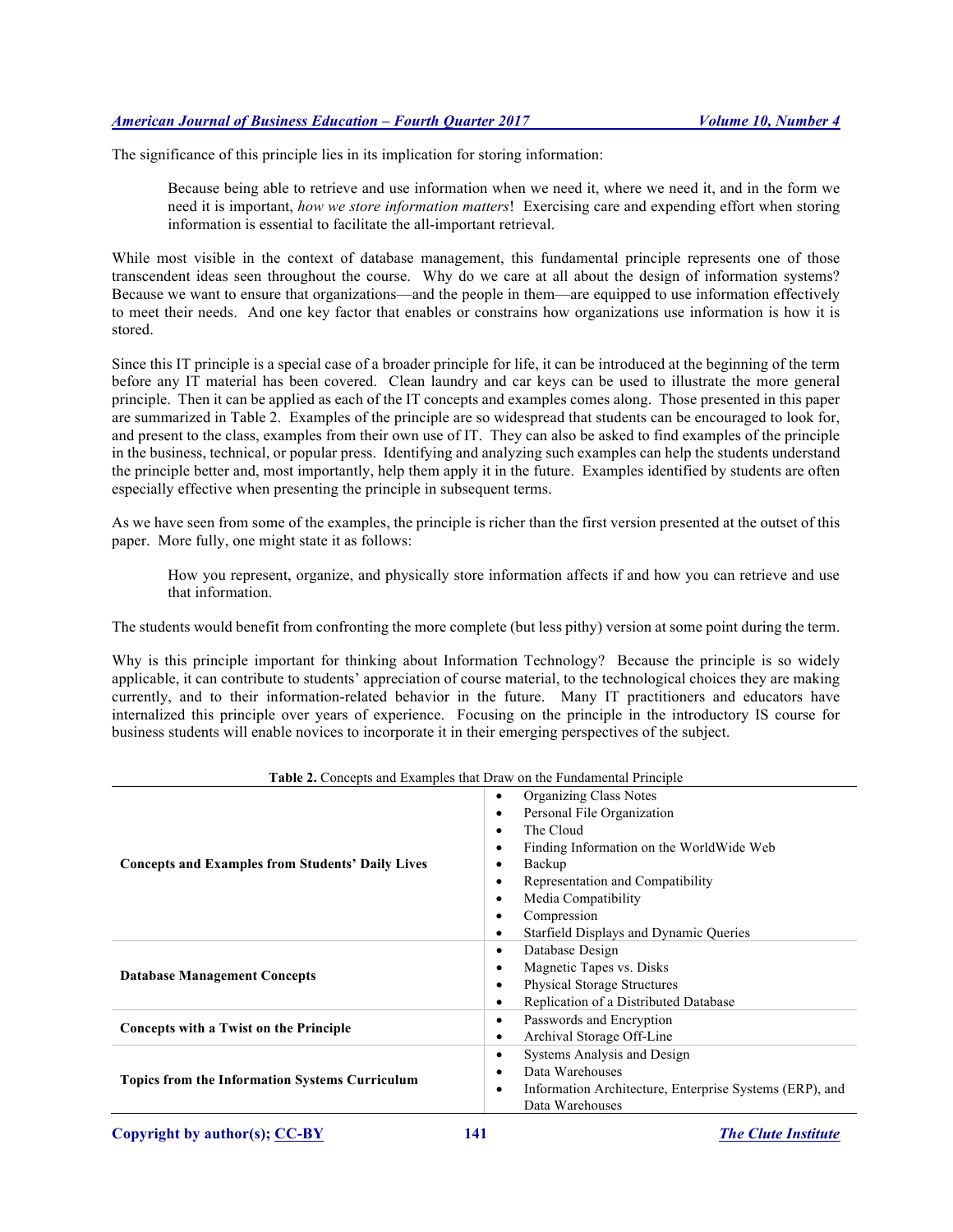The significance of this principle lies in its implication for storing information:

Because being able to retrieve and use information when we need it, where we need it, and in the form we need it is important, *how we store information matters*! Exercising care and expending effort when storing information is essential to facilitate the all-important retrieval.

While most visible in the context of database management, this fundamental principle represents one of those transcendent ideas seen throughout the course. Why do we care at all about the design of information systems? Because we want to ensure that organizations—and the people in them—are equipped to use information effectively to meet their needs. And one key factor that enables or constrains how organizations use information is how it is stored.

Since this IT principle is a special case of a broader principle for life, it can be introduced at the beginning of the term before any IT material has been covered. Clean laundry and car keys can be used to illustrate the more general principle. Then it can be applied as each of the IT concepts and examples comes along. Those presented in this paper are summarized in Table 2. Examples of the principle are so widespread that students can be encouraged to look for, and present to the class, examples from their own use of IT. They can also be asked to find examples of the principle in the business, technical, or popular press. Identifying and analyzing such examples can help the students understand the principle better and, most importantly, help them apply it in the future. Examples identified by students are often especially effective when presenting the principle in subsequent terms.

As we have seen from some of the examples, the principle is richer than the first version presented at the outset of this paper. More fully, one might state it as follows:

How you represent, organize, and physically store information affects if and how you can retrieve and use that information.

The students would benefit from confronting the more complete (but less pithy) version at some point during the term.

Why is this principle important for thinking about Information Technology? Because the principle is so widely applicable, it can contribute to students' appreciation of course material, to the technological choices they are making currently, and to their information-related behavior in the future. Many IT practitioners and educators have internalized this principle over years of experience. Focusing on the principle in the introductory IS course for business students will enable novices to incorporate it in their emerging perspectives of the subject.

| <b>Table 2.</b> Concepts and Examples that Draw on the Fundamental Principle |                                                                                                                                                                                                                                                                                                        |  |
|------------------------------------------------------------------------------|--------------------------------------------------------------------------------------------------------------------------------------------------------------------------------------------------------------------------------------------------------------------------------------------------------|--|
| <b>Concepts and Examples from Students' Daily Lives</b>                      | Organizing Class Notes<br>$\bullet$<br>Personal File Organization<br>$\bullet$<br>The Cloud<br>Finding Information on the WorldWide Web<br>٠<br>Backup<br>Representation and Compatibility<br>٠<br>Media Compatibility<br>٠<br>Compression<br>٠<br>Starfield Displays and Dynamic Queries<br>$\bullet$ |  |
| <b>Database Management Concepts</b>                                          | Database Design<br>٠<br>Magnetic Tapes vs. Disks<br>٠<br><b>Physical Storage Structures</b><br>٠<br>Replication of a Distributed Database<br>٠                                                                                                                                                         |  |
| Concepts with a Twist on the Principle                                       | Passwords and Encryption<br>٠<br>Archival Storage Off-Line<br>٠                                                                                                                                                                                                                                        |  |
| <b>Topics from the Information Systems Curriculum</b>                        | Systems Analysis and Design<br>٠<br>Data Warehouses<br>Information Architecture, Enterprise Systems (ERP), and<br>٠<br>Data Warehouses                                                                                                                                                                 |  |